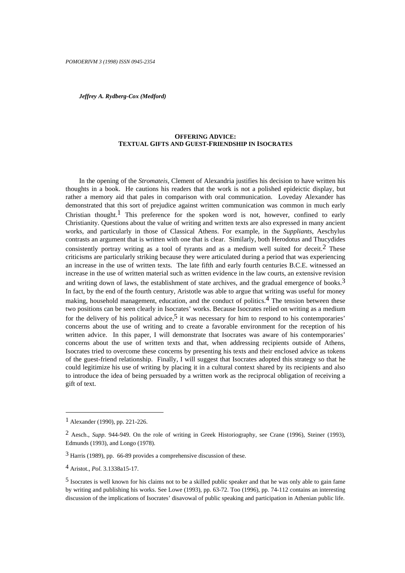*Jeffrey A. Rydberg-Cox (Medford)*

# **OFFERING ADVICE: TEXTUAL GIFTS AND GUEST-FRIENDSHIP IN ISOCRATES**

In the opening of the *Stromateis*, Clement of Alexandria justifies his decision to have written his thoughts in a book. He cautions his readers that the work is not a polished epideictic display, but rather a memory aid that pales in comparison with oral communication. Loveday Alexander has demonstrated that this sort of prejudice against written communication was common in much early Christian thought.<sup>1</sup> This preference for the spoken word is not, however, confined to early Christianity. Questions about the value of writing and written texts are also expressed in many ancient works, and particularly in those of Classical Athens. For example, in the *Suppliants*, Aeschylus contrasts an argument that is written with one that is clear. Similarly, both Herodotus and Thucydides consistently portray writing as a tool of tyrants and as a medium well suited for deceit.<sup>2</sup> These criticisms are particularly striking because they were articulated during a period that was experiencing an increase in the use of written texts. The late fifth and early fourth centuries B.C.E. witnessed an increase in the use of written material such as written evidence in the law courts, an extensive revision and writing down of laws, the establishment of state archives, and the gradual emergence of books.<sup>3</sup> In fact, by the end of the fourth century, Aristotle was able to argue that writing was useful for money making, household management, education, and the conduct of politics.<sup>4</sup> The tension between these two positions can be seen clearly in Isocrates' works. Because Isocrates relied on writing as a medium for the delivery of his political advice,  $\frac{5}{1}$  it was necessary for him to respond to his contemporaries' concerns about the use of writing and to create a favorable environment for the reception of his written advice. In this paper, I will demonstrate that Isocrates was aware of his contemporaries' concerns about the use of written texts and that, when addressing recipients outside of Athens, Isocrates tried to overcome these concerns by presenting his texts and their enclosed advice as tokens of the guest-friend relationship. Finally, I will suggest that Isocrates adopted this strategy so that he could legitimize his use of writing by placing it in a cultural context shared by its recipients and also to introduce the idea of being persuaded by a written work as the reciprocal obligation of receiving a gift of text.

<sup>1</sup> Alexander (1990), pp. 221-226.

<sup>2</sup> Aesch., *Supp*. 944-949. On the role of writing in Greek Historiography, see Crane (1996), Steiner (1993), Edmunds (1993), and Longo (1978).

<sup>3</sup> Harris (1989), pp. 66-89 provides a comprehensive discussion of these.

<sup>4</sup> Aristot., *Pol*. 3.1338a15-17.

<sup>5</sup> Isocrates is well known for his claims not to be a skilled public speaker and that he was only able to gain fame by writing and publishing his works. See Lowe (1993), pp. 63-72. Too (1996), pp. 74-112 contains an interesting discussion of the implications of Isocrates' disavowal of public speaking and participation in Athenian public life.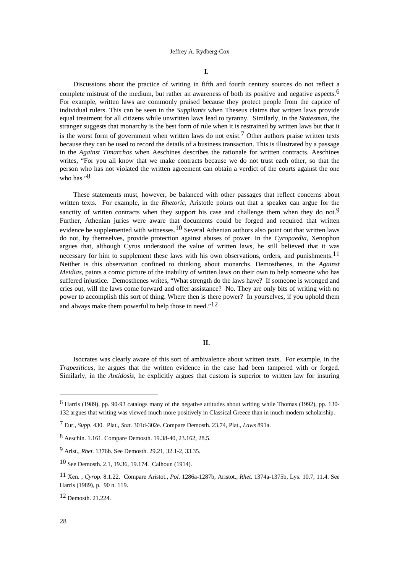## ,

Discussions about the practice of writing in fifth and fourth century sources do not reflect a complete mistrust of the medium, but rather an awareness of both its positive and negative aspects.<sup>6</sup> For example, written laws are commonly praised because they protect people from the caprice of individual rulers. This can be seen in the *Suppliants* when Theseus claims that written laws provide equal treatment for all citizens while unwritten laws lead to tyranny. Similarly, in the *Statesman*, the stranger suggests that monarchy is the best form of rule when it is restrained by written laws but that it is the worst form of government when written laws do not exist.<sup>7</sup> Other authors praise written texts because they can be used to record the details of a business transaction. This is illustrated by a passage in the *Against Timarchos* when Aeschines describes the rationale for written contracts. Aeschines writes, "For you all know that we make contracts because we do not trust each other, so that the person who has not violated the written agreement can obtain a verdict of the courts against the one who has."<sup>8</sup>

These statements must, however, be balanced with other passages that reflect concerns about written texts. For example, in the *Rhetoric*, Aristotle points out that a speaker can argue for the sanctity of written contracts when they support his case and challenge them when they do not.<sup>9</sup> Further, Athenian juries were aware that documents could be forged and required that written evidence be supplemented with witnesses.<sup>10</sup> Several Athenian authors also point out that written laws do not, by themselves, provide protection against abuses of power. In the *Cyropaedia*, Xenophon argues that, although Cyrus understood the value of written laws, he still believed that it was necessary for him to supplement these laws with his own observations, orders, and punishments.<sup>11</sup> Neither is this observation confined to thinking about monarchs. Demosthenes, in the *Against Meidias*, paints a comic picture of the inability of written laws on their own to help someone who has suffered injustice. Demosthenes writes, "What strength do the laws have? If someone is wronged and cries out, will the laws come forward and offer assistance? No. They are only bits of writing with no power to accomplish this sort of thing. Where then is there power? In yourselves, if you uphold them and always make them powerful to help those in need." $12$ 

# $II.$

Isocrates was clearly aware of this sort of ambivalence about written texts. For example, in the *Trapeziticus*, he argues that the written evidence in the case had been tampered with or forged. Similarly, in the *Antidosis*, he explicitly argues that custom is superior to written law for insuring

<sup>6</sup> Harris (1989), pp. 90-93 catalogs many of the negative attitudes about writing while Thomas (1992), pp. 130- 132 argues that writing was viewed much more positively in Classical Greece than in much modern scholarship.

<sup>7</sup> Eur., *Supp*. 430. Plat., *Stat*. 301d-302e. Compare Demosth. 23.74, Plat., *Laws* 891a.

<sup>8</sup> Aeschin. 1.161. Compare Demosth. 19.38-40, 23.162, 28.5.

<sup>9</sup> Arist., *Rhet*. 1376b. See Demosth. 29.21, 32.1-2, 33.35.

<sup>10</sup> See Demosth. 2.1, 19.36, 19.174. Calhoun (1914).

<sup>11</sup> Xen. , *Cyrop*. 8.1.22. Compare Aristot., *Pol*. 1286a-1287b, Aristot., *Rhet*. 1374a-1375b, Lys. 10.7, 11.4. See Harris (1989), p. 90 n. 119.

<sup>12</sup> Demosth. 21.224.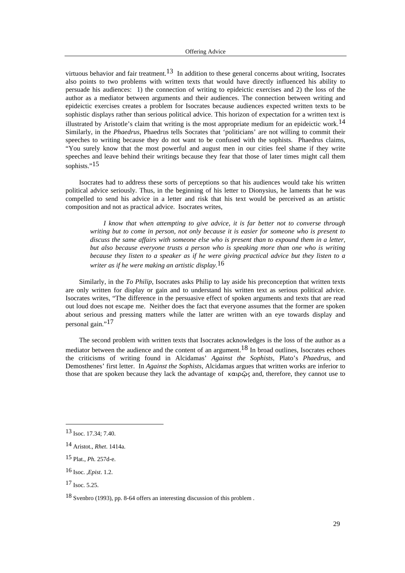virtuous behavior and fair treatment.<sup>13</sup> In addition to these general concerns about writing, Isocrates also points to two problems with written texts that would have directly influenced his ability to persuade his audiences: 1) the connection of writing to epideictic exercises and 2) the loss of the author as a mediator between arguments and their audiences. The connection between writing and epideictic exercises creates a problem for Isocrates because audiences expected written texts to be sophistic displays rather than serious political advice. This horizon of expectation for a written text is illustrated by Aristotle's claim that writing is the most appropriate medium for an epideictic work.<sup>14</sup> Similarly, in the *Phaedrus*, Phaedrus tells Socrates that 'politicians' are not willing to commit their speeches to writing because they do not want to be confused with the sophists. Phaedrus claims, "You surely know that the most powerful and august men in our cities feel shame if they write speeches and leave behind their writings because they fear that those of later times might call them sophists."<sup>15</sup>

Isocrates had to address these sorts of perceptions so that his audiences would take his written political advice seriously. Thus, in the beginning of his letter to Dionysius, he laments that he was compelled to send his advice in a letter and risk that his text would be perceived as an artistic composition and not as practical advice. Isocrates writes,

*I know that when attempting to give advice, it is far better not to converse through writing but to come in person, not only because it is easier for someone who is present to discuss the same affairs with someone else who is present than to expound them in a letter, but also because everyone trusts a person who is speaking more than one who is writing because they listen to a speaker as if he were giving practical advice but they listen to a writer as if he were making an artistic display.*16

Similarly, in the *To Philip*, Isocrates asks Philip to lay aside his preconception that written texts are only written for display or gain and to understand his written text as serious political advice. Isocrates writes, "The difference in the persuasive effect of spoken arguments and texts that are read out loud does not escape me. Neither does the fact that everyone assumes that the former are spoken about serious and pressing matters while the latter are written with an eye towards display and personal gain."17

The second problem with written texts that Isocrates acknowledges is the loss of the author as a mediator between the audience and the content of an argument.<sup>18</sup> In broad outlines. Isocrates echoes the criticisms of writing found in Alcidamas' *Against the Sophists*, Plato's *Phaedrus*, and Demosthenes' first letter. In *Against the Sophists*, Alcidamas argues that written works are inferior to those that are spoken because they lack the advantage of  $\kappa \alpha \rho \tilde{\varphi}_S$  and, therefore, they cannot use to

<sup>13</sup> Isoc. 17.34; 7.40.

<sup>14</sup> Aristot., *Rhet*. 1414a.

<sup>15</sup> Plat., *Ph.* 257d-e.

<sup>16</sup> Isoc. ,*Epist*. 1.2.

 $17$  Isoc. 5.25.

<sup>18</sup> Svenbro (1993), pp. 8-64 offers an interesting discussion of this problem .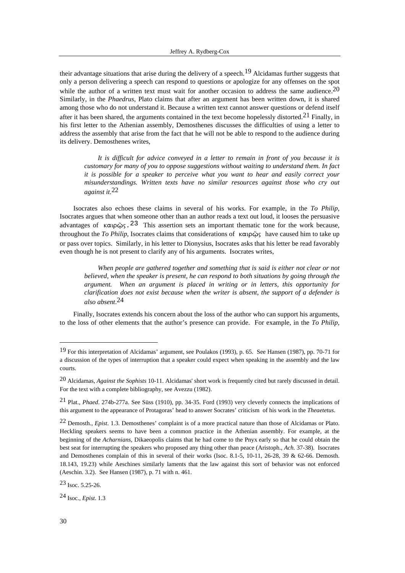their advantage situations that arise during the delivery of a speech.<sup>19</sup> Alcidamas further suggests that only a person delivering a speech can respond to questions or apologize for any offenses on the spot while the author of a written text must wait for another occasion to address the same audience.<sup>20</sup> Similarly, in the *Phaedrus*, Plato claims that after an argument has been written down, it is shared among those who do not understand it. Because a written text cannot answer questions or defend itself after it has been shared, the arguments contained in the text become hopelessly distorted.21 Finally, in his first letter to the Athenian assembly, Demosthenes discusses the difficulties of using a letter to address the assembly that arise from the fact that he will not be able to respond to the audience during its delivery. Demosthenes writes,

*It is difficult for advice conveyed in a letter to remain in front of you because it is customary for many of you to oppose suggestions without waiting to understand them. In fact it is possible for a speaker to perceive what you want to hear and easily correct your misunderstandings. Written texts have no similar resources against those who cry out against it.*22

Isocrates also echoes these claims in several of his works. For example, in the *To Philip*, Isocrates argues that when someone other than an author reads a text out loud, it looses the persuasive advantages of  $\kappa \alpha_1 \rho \tilde{\omega}_5$ . <sup>23</sup> This assertion sets an important thematic tone for the work because, throughout the *To Philip*, Isocrates claims that considerations of  $\kappa \alpha \rho \tilde{\omega}$  have caused him to take up or pass over topics. Similarly, in his letter to Dionysius, Isocrates asks that his letter be read favorably even though he is not present to clarify any of his arguments. Isocrates writes,

*When people are gathered together and something that is said is either not clear or not believed, when the speaker is present, he can respond to both situations by going through the argument. When an argument is placed in writing or in letters, this opportunity for clarification does not exist because when the writer is absent, the support of a defender is also absent*. 24

Finally, Isocrates extends his concern about the loss of the author who can support his arguments, to the loss of other elements that the author's presence can provide. For example, in the *To Philip*,

23 Isoc. 5.25-26.

24 Isoc., *Epist*. 1.3

<sup>19</sup> For this interpretation of Alcidamas' argument, see Poulakos (1993), p. 65. See Hansen (1987), pp. 70-71 for a discussion of the types of interruption that a speaker could expect when speaking in the assembly and the law courts.

<sup>20</sup> Alcidamas, *Against the Sophists* 10-11. Alcidamas' short work is frequently cited but rarely discussed in detail. For the text with a complete bibliography, see Avezzu (1982).

<sup>21</sup> Plat., *Phaed*. 274b-277a. See Süss (1910), pp. 34-35. Ford (1993) very cleverly connects the implications of this argument to the appearance of Protagoras' head to answer Socrates' criticism of his work in the *Theaetetus*.

<sup>22</sup> Demosth., *Epist*. 1.3. Demosthenes' complaint is of a more practical nature than those of Alcidamas or Plato. Heckling speakers seems to have been a common practice in the Athenian assembly. For example, at the beginning of the *Acharnians*, Dikaeopolis claims that he had come to the Pnyx early so that he could obtain the best seat for interrupting the speakers who proposed any thing other than peace (Aristoph., *Ach.* 37-38). Isocrates and Demosthenes complain of this in several of their works (Isoc. 8.1-5, 10-11, 26-28, 39 & 62-66. Demosth. 18.143, 19.23) while Aeschines similarly laments that the law against this sort of behavior was not enforced (Aeschin. 3.2). See Hansen (1987), p. 71 with n. 461.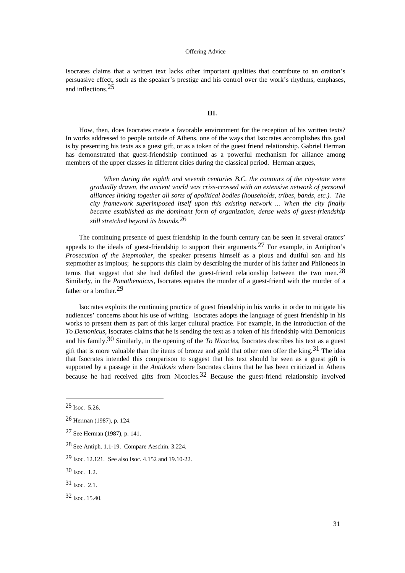Isocrates claims that a written text lacks other important qualities that contribute to an oration's persuasive effect, such as the speaker's prestige and his control over the work's rhythms, emphases, and inflections.25

## **III.**

How, then, does Isocrates create a favorable environment for the reception of his written texts? In works addressed to people outside of Athens, one of the ways that Isocrates accomplishes this goal is by presenting his texts as a guest gift, or as a token of the guest friend relationship. Gabriel Herman has demonstrated that guest-friendship continued as a powerful mechanism for alliance among members of the upper classes in different cities during the classical period. Herman argues,

*When during the eighth and seventh centuries B.C. the contours of the city-state were gradually drawn, the ancient world was criss-crossed with an extensive network of personal alliances linking together all sorts of apolitical bodies (households, tribes, bands, etc.). The city framework superimposed itself upon this existing network ... When the city finally became established as the dominant form of organization, dense webs of guest-friendship still stretched beyond its bounds*. 26

The continuing presence of guest friendship in the fourth century can be seen in several orators' appeals to the ideals of guest-friendship to support their arguments.<sup>27</sup> For example, in Antiphon's *Prosecution of the Stepmother*, the speaker presents himself as a pious and dutiful son and his stepmother as impious; he supports this claim by describing the murder of his father and Philoneos in terms that suggest that she had defiled the guest-friend relationship between the two men.<sup>28</sup> Similarly, in the *Panathenaicus*, Isocrates equates the murder of a guest-friend with the murder of a father or a brother.29

Isocrates exploits the continuing practice of guest friendship in his works in order to mitigate his audiences' concerns about his use of writing. Isocrates adopts the language of guest friendship in his works to present them as part of this larger cultural practice. For example, in the introduction of the *To Demonicus*, Isocrates claims that he is sending the text as a token of his friendship with Demonicus and his family.30 Similarly, in the opening of the *To Nicocles*, Isocrates describes his text as a guest gift that is more valuable than the items of bronze and gold that other men offer the king.<sup>31</sup> The idea that Isocrates intended this comparison to suggest that his text should be seen as a guest gift is supported by a passage in the *Antidosis* where Isocrates claims that he has been criticized in Athens because he had received gifts from Nicocles.<sup>32</sup> Because the guest-friend relationship involved

 $25$  Isoc. 5.26.

<sup>26</sup> Herman (1987), p. 124.

<sup>27</sup> See Herman (1987), p. 141.

<sup>28</sup> See Antiph. 1.1-19. Compare Aeschin. 3.224.

<sup>29</sup> Isoc. 12.121. See also Isoc. 4.152 and 19.10-22.

<sup>30</sup> Isoc. 1.2.

<sup>31</sup> Isoc. 2.1.

<sup>32</sup> Isoc. 15.40.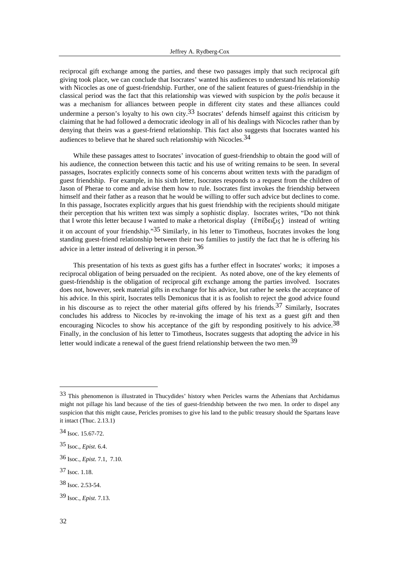reciprocal gift exchange among the parties, and these two passages imply that such reciprocal gift giving took place, we can conclude that Isocrates' wanted his audiences to understand his relationship with Nicocles as one of guest-friendship. Further, one of the salient features of guest-friendship in the classical period was the fact that this relationship was viewed with suspicion by the *polis* because it was a mechanism for alliances between people in different city states and these alliances could undermine a person's loyalty to his own city.<sup>33</sup> Isocrates' defends himself against this criticism by claiming that he had followed a democratic ideology in all of his dealings with Nicocles rather than by denying that theirs was a guest-friend relationship. This fact also suggests that Isocrates wanted his audiences to believe that he shared such relationship with Nicocles.  $34$ 

While these passages attest to Isocrates' invocation of guest-friendship to obtain the good will of his audience, the connection between this tactic and his use of writing remains to be seen. In several passages, Isocrates explicitly connects some of his concerns about written texts with the paradigm of guest friendship. For example, in his sixth letter, Isocrates responds to a request from the children of Jason of Pherae to come and advise them how to rule. Isocrates first invokes the friendship between himself and their father as a reason that he would be willing to offer such advice but declines to come. In this passage, Isocrates explicitly argues that his guest friendship with the recipients should mitigate their perception that his written text was simply a sophistic display. Isocrates writes, "Do not think that I wrote this letter because I wanted to make a rhetorical display (ἕπέδειξις) instead of writing it on account of your friendship."35 Similarly, in his letter to Timotheus, Isocrates invokes the long standing guest-friend relationship between their two families to justify the fact that he is offering his advice in a letter instead of delivering it in person.36

This presentation of his texts as guest gifts has a further effect in Isocrates' works; it imposes a reciprocal obligation of being persuaded on the recipient. As noted above, one of the key elements of guest-friendship is the obligation of reciprocal gift exchange among the parties involved. Isocrates does not, however, seek material gifts in exchange for his advice, but rather he seeks the acceptance of his advice. In this spirit, Isocrates tells Demonicus that it is as foolish to reject the good advice found in his discourse as to reject the other material gifts offered by his friends.37 Similarly, Isocrates concludes his address to Nicocles by re-invoking the image of his text as a guest gift and then encouraging Nicocles to show his acceptance of the gift by responding positively to his advice.<sup>38</sup> Finally, in the conclusion of his letter to Timotheus, Isocrates suggests that adopting the advice in his letter would indicate a renewal of the guest friend relationship between the two men.<sup>39</sup>

<sup>33</sup> This phenomenon is illustrated in Thucydides' history when Pericles warns the Athenians that Archidamus might not pillage his land because of the ties of guest-friendship between the two men. In order to dispel any suspicion that this might cause, Pericles promises to give his land to the public treasury should the Spartans leave it intact (Thuc. 2.13.1)

<sup>34</sup> Isoc. 15.67-72.

<sup>35</sup> Isoc., *Epist*. 6.4.

<sup>36</sup> Isoc., *Epist*. 7.1, 7.10.

<sup>37</sup> Isoc. 1.18.

<sup>38</sup> Isoc. 2.53-54.

<sup>39</sup> Isoc., *Epist*. 7.13.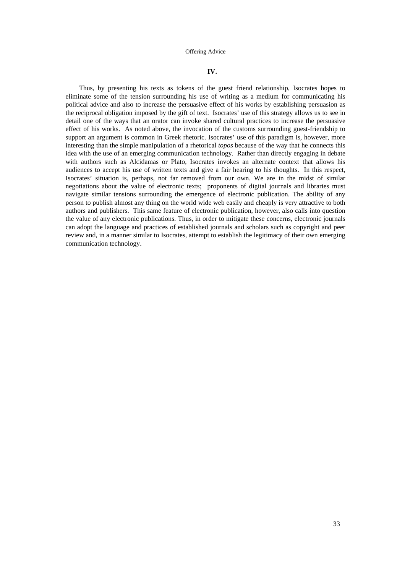# IV.

Thus, by presenting his texts as tokens of the guest friend relationship, Isocrates hopes to eliminate some of the tension surrounding his use of writing as a medium for communicating his political advice and also to increase the persuasive effect of his works by establishing persuasion as the reciprocal obligation imposed by the gift of text. Isocrates' use of this strategy allows us to see in detail one of the ways that an orator can invoke shared cultural practices to increase the persuasive effect of his works. As noted above, the invocation of the customs surrounding guest-friendship to support an argument is common in Greek rhetoric. Isocrates' use of this paradigm is, however, more interesting than the simple manipulation of a rhetorical *topos* because of the way that he connects this idea with the use of an emerging communication technology. Rather than directly engaging in debate with authors such as Alcidamas or Plato, Isocrates invokes an alternate context that allows his audiences to accept his use of written texts and give a fair hearing to his thoughts. In this respect, Isocrates' situation is, perhaps, not far removed from our own. We are in the midst of similar negotiations about the value of electronic texts; proponents of digital journals and libraries must navigate similar tensions surrounding the emergence of electronic publication. The ability of any person to publish almost any thing on the world wide web easily and cheaply is very attractive to both authors and publishers. This same feature of electronic publication, however, also calls into question the value of any electronic publications. Thus, in order to mitigate these concerns, electronic journals can adopt the language and practices of established journals and scholars such as copyright and peer review and, in a manner similar to Isocrates, attempt to establish the legitimacy of their own emerging communication technology.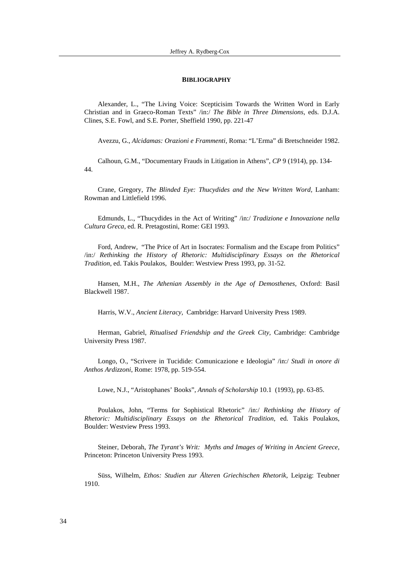#### **BIBLIOGRAPHY**

Alexander, L., "The Living Voice: Scepticisim Towards the Written Word in Early Christian and in Graeco-Roman Texts" /in:/ *The Bible in Three Dimensions*, eds. D.J.A. Clines, S.E. Fowl, and S.E. Porter, Sheffield 1990, pp. 221-47

Avezzu, G., *Alcidamas: Orazioni e Frammenti,* Roma: "L'Erma" di Bretschneider 1982.

Calhoun, G.M., "Documentary Frauds in Litigation in Athens", *CP* 9 (1914), pp. 134- 44.

Crane, Gregory, *The Blinded Eye: Thucydides and the New Written Word,* Lanham: Rowman and Littlefield 1996.

Edmunds, L., "Thucydides in the Act of Writing" /in:/ *Tradizione e Innovazione nella Cultura Greca*, ed. R. Pretagostini, Rome: GEI 1993.

Ford, Andrew, "The Price of Art in Isocrates: Formalism and the Escape from Politics" /in:/ *Rethinking the History of Rhetoric: Multidisciplinary Essays on the Rhetorical Tradition*, ed. Takis Poulakos, Boulder: Westview Press 1993, pp. 31-52.

Hansen, M.H., *The Athenian Assembly in the Age of Demosthenes,* Oxford: Basil Blackwell 1987.

Harris, W.V., *Ancient Literacy,* Cambridge: Harvard University Press 1989.

Herman, Gabriel, *Ritualised Friendship and the Greek City,* Cambridge: Cambridge University Press 1987.

Longo, O., "Scrivere in Tucidide: Comunicazione e Ideologia" /in:/ *Studi in onore di Anthos Ardizzoni*, Rome: 1978, pp. 519-554.

Lowe, N.J., "Aristophanes' Books", *Annals of Scholarship* 10.1 (1993), pp. 63-85.

Poulakos, John, "Terms for Sophistical Rhetoric" /in:/ *Rethinking the History of Rhetoric: Multidisciplinary Essays on the Rhetorical Tradition*, ed. Takis Poulakos, Boulder: Westview Press 1993.

Steiner, Deborah, *The Tyrant's Writ: Myths and Images of Writing in Ancient Greece,* Princeton: Princeton University Press 1993.

Süss, Wilhelm, *Ethos: Studien zur Älteren Griechischen Rhetorik,* Leipzig: Teubner 1910.